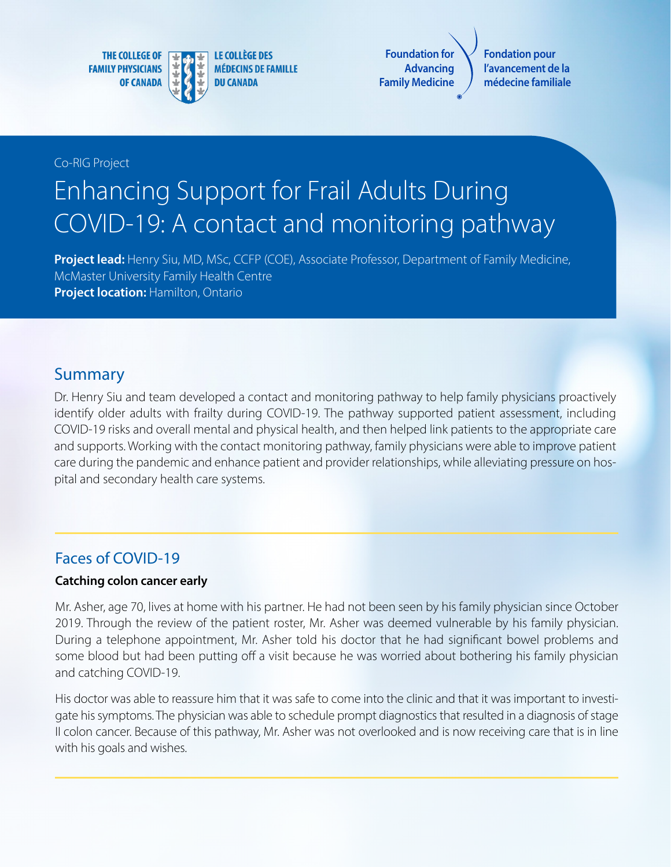**THE COLLEGE OF FAMILY PHYSICIANS OF CANADA** 



**LE COLLÈGE DES MÉDECINS DE FAMILLE DU CANADA** 

**Foundation for Advancing Family Medicine**

**Fondation pour l'avancement de la médecine familiale**

#### Co-RIG Project

# Enhancing Support for Frail Adults During COVID-19: A contact and monitoring pathway

**Project lead:** Henry Siu, MD, MSc, CCFP (COE), Associate Professor, Department of Family Medicine, McMaster University Family Health Centre **Project location: Hamilton, Ontario** 

#### Summary

Dr. Henry Siu and team developed a contact and monitoring pathway to help family physicians proactively identify older adults with frailty during COVID-19. The pathway supported patient assessment, including COVID-19 risks and overall mental and physical health, and then helped link patients to the appropriate care and supports. Working with the contact monitoring pathway, family physicians were able to improve patient care during the pandemic and enhance patient and provider relationships, while alleviating pressure on hospital and secondary health care systems.

#### Faces of COVID-19

#### **Catching colon cancer early**

Mr. Asher, age 70, lives at home with his partner. He had not been seen by his family physician since October 2019. Through the review of the patient roster, Mr. Asher was deemed vulnerable by his family physician. During a telephone appointment, Mr. Asher told his doctor that he had significant bowel problems and some blood but had been putting off a visit because he was worried about bothering his family physician and catching COVID-19.

His doctor was able to reassure him that it was safe to come into the clinic and that it was important to investigate his symptoms. The physician was able to schedule prompt diagnostics that resulted in a diagnosis of stage II colon cancer. Because of this pathway, Mr. Asher was not overlooked and is now receiving care that is in line with his goals and wishes.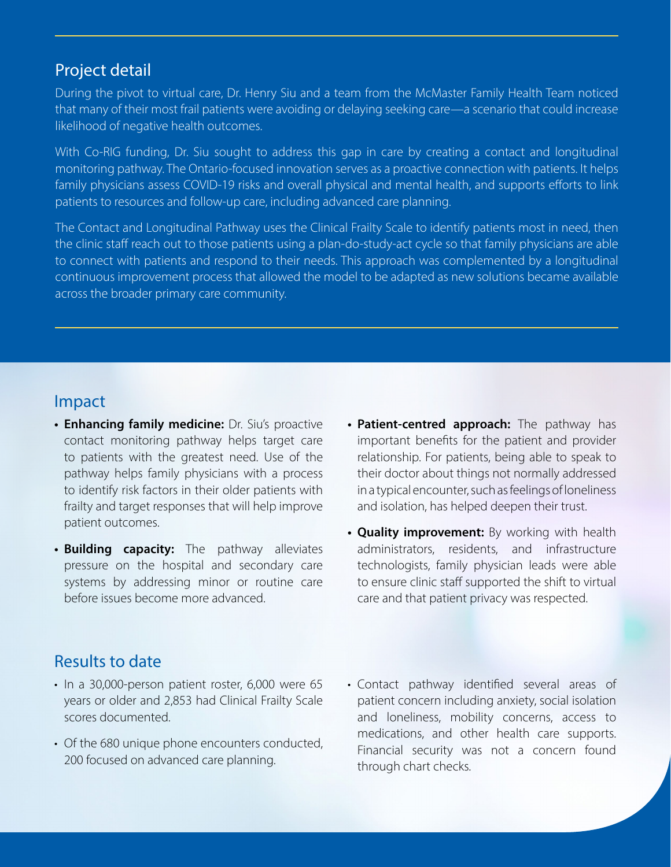## Project detail

During the pivot to virtual care, Dr. Henry Siu and a team from the McMaster Family Health Team noticed that many of their most frail patients were avoiding or delaying seeking care—a scenario that could increase likelihood of negative health outcomes.

With Co-RIG funding, Dr. Siu sought to address this gap in care by creating a contact and longitudinal monitoring pathway. The Ontario-focused innovation serves as a proactive connection with patients. It helps family physicians assess COVID-19 risks and overall physical and mental health, and supports efforts to link patients to resources and follow-up care, including advanced care planning.

The Contact and Longitudinal Pathway uses the Clinical Frailty Scale to identify patients most in need, then the clinic staff reach out to those patients using a plan-do-study-act cycle so that family physicians are able to connect with patients and respond to their needs. This approach was complemented by a longitudinal continuous improvement process that allowed the model to be adapted as new solutions became available across the broader primary care community.

## Impact

- **• Enhancing family medicine:** Dr. Siu's proactive contact monitoring pathway helps target care to patients with the greatest need. Use of the pathway helps family physicians with a process to identify risk factors in their older patients with frailty and target responses that will help improve patient outcomes.
- **• Building capacity:** The pathway alleviates pressure on the hospital and secondary care systems by addressing minor or routine care before issues become more advanced.
- **• Patient-centred approach:** The pathway has important benefits for the patient and provider relationship. For patients, being able to speak to their doctor about things not normally addressed in a typical encounter, such as feelings of loneliness and isolation, has helped deepen their trust.
- **• Quality improvement:** By working with health administrators, residents, and infrastructure technologists, family physician leads were able to ensure clinic staff supported the shift to virtual care and that patient privacy was respected.

## Results to date

- In a 30,000-person patient roster, 6,000 were 65 years or older and 2,853 had Clinical Frailty Scale scores documented.
- Of the 680 unique phone encounters conducted, 200 focused on advanced care planning.
- Contact pathway identified several areas of patient concern including anxiety, social isolation and loneliness, mobility concerns, access to medications, and other health care supports. Financial security was not a concern found through chart checks.